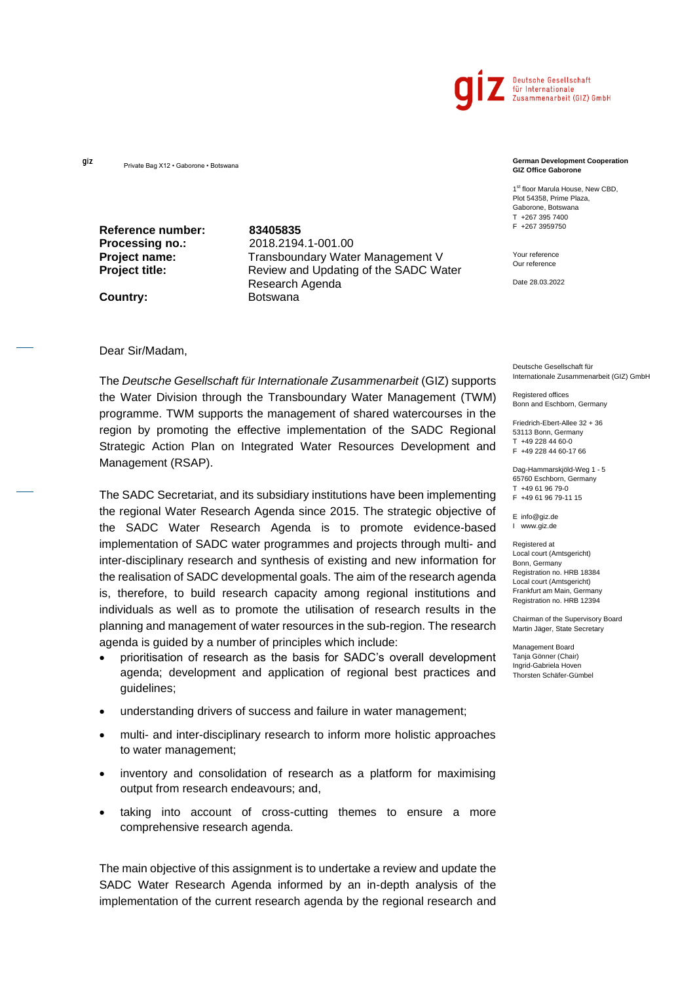

gíz

**Reference number: 83405835**

**Processing no.:** 2018.2194.1-001.00 **Project name:** Transboundary Water Management V **Project title:** Review and Updating of the SADC Water Research Agenda **Country:** Botswana

#### Dear Sir/Madam,

The *Deutsche Gesellschaft für Internationale Zusammenarbeit* (GIZ) supports the Water Division through the Transboundary Water Management (TWM) programme. TWM supports the management of shared watercourses in the region by promoting the effective implementation of the SADC Regional Strategic Action Plan on Integrated Water Resources Development and Management (RSAP).

The SADC Secretariat, and its subsidiary institutions have been implementing the regional Water Research Agenda since 2015. The strategic objective of the SADC Water Research Agenda is to promote evidence-based implementation of SADC water programmes and projects through multi- and inter-disciplinary research and synthesis of existing and new information for the realisation of SADC developmental goals. The aim of the research agenda is, therefore, to build research capacity among regional institutions and individuals as well as to promote the utilisation of research results in the planning and management of water resources in the sub-region. The research agenda is guided by a number of principles which include:

- prioritisation of research as the basis for SADC's overall development agenda; development and application of regional best practices and guidelines;
- understanding drivers of success and failure in water management;
- multi- and inter-disciplinary research to inform more holistic approaches to water management;
- inventory and consolidation of research as a platform for maximising output from research endeavours; and,
- taking into account of cross-cutting themes to ensure a more comprehensive research agenda.

The main objective of this assignment is to undertake a review and update the SADC Water Research Agenda informed by an in-depth analysis of the implementation of the current research agenda by the regional research and

#### Private Bag X12 • Gaborone • Botswana **German Development Cooperation GIZ Office Gaborone**

1<sup>st</sup> floor Marula House, New CBD, Plot 54358, Prime Plaza, Gaborone, Botswana T +267 395 7400 F +267 3959750

Your reference Our reference

Date 28.03.2022

Deutsche Gesellschaft für Internationale Zusammenarbeit (GIZ) GmbH

Registered offices Bonn and Eschborn, Germany

Friedrich-Ebert-Allee 32 + 36 53113 Bonn, Germany T +49 228 44 60-0 F +49 228 44 60-17 66

Dag-Hammarskjöld-Weg 1 - 5 65760 Eschborn, Germany T +49 61 96 79-0 F +49 61 96 79-11 15

E info@giz.de I www.giz.de

Registered at Local court (Amtsgericht) Bonn, Germany Registration no. HRB 18384 Local court (Amtsgericht) Frankfurt am Main, Germany Registration no. HRB 12394

Chairman of the Supervisory Board Martin Jäger, State Secretary

Management Board Tanja Gönner (Chair) Ingrid-Gabriela Hoven Thorsten Schäfer-Gümbel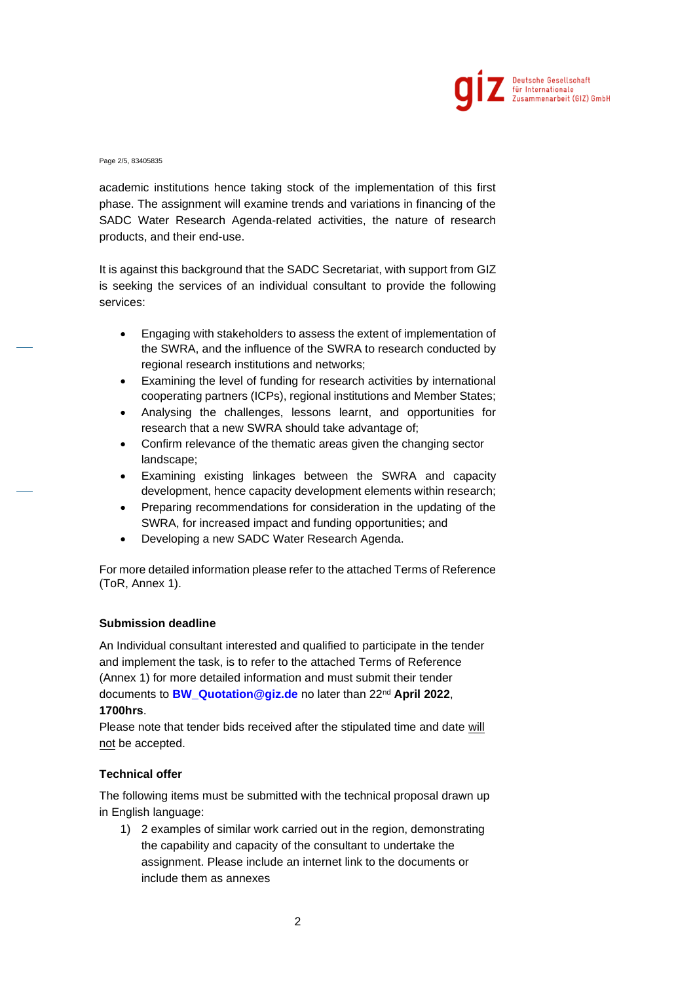

Page 2/5, 83405835

academic institutions hence taking stock of the implementation of this first phase. The assignment will examine trends and variations in financing of the SADC Water Research Agenda-related activities, the nature of research products, and their end-use.

It is against this background that the SADC Secretariat, with support from GIZ is seeking the services of an individual consultant to provide the following services:

- Engaging with stakeholders to assess the extent of implementation of the SWRA, and the influence of the SWRA to research conducted by regional research institutions and networks;
- Examining the level of funding for research activities by international cooperating partners (ICPs), regional institutions and Member States;
- Analysing the challenges, lessons learnt, and opportunities for research that a new SWRA should take advantage of;
- Confirm relevance of the thematic areas given the changing sector landscape;
- Examining existing linkages between the SWRA and capacity development, hence capacity development elements within research;
- Preparing recommendations for consideration in the updating of the SWRA, for increased impact and funding opportunities; and
- Developing a new SADC Water Research Agenda.

For more detailed information please refer to the attached Terms of Reference (ToR, Annex 1).

# **Submission deadline**

An Individual consultant interested and qualified to participate in the tender and implement the task, is to refer to the attached Terms of Reference (Annex 1) for more detailed information and must submit their tender documents to **[BW\\_Quotation@giz.de](mailto:BW_Quotation@giz.de)** no later than 22nd **April 2022**, **1700hrs**.

Please note that tender bids received after the stipulated time and date will not be accepted.

# **Technical offer**

The following items must be submitted with the technical proposal drawn up in English language:

1) 2 examples of similar work carried out in the region, demonstrating the capability and capacity of the consultant to undertake the assignment. Please include an internet link to the documents or include them as annexes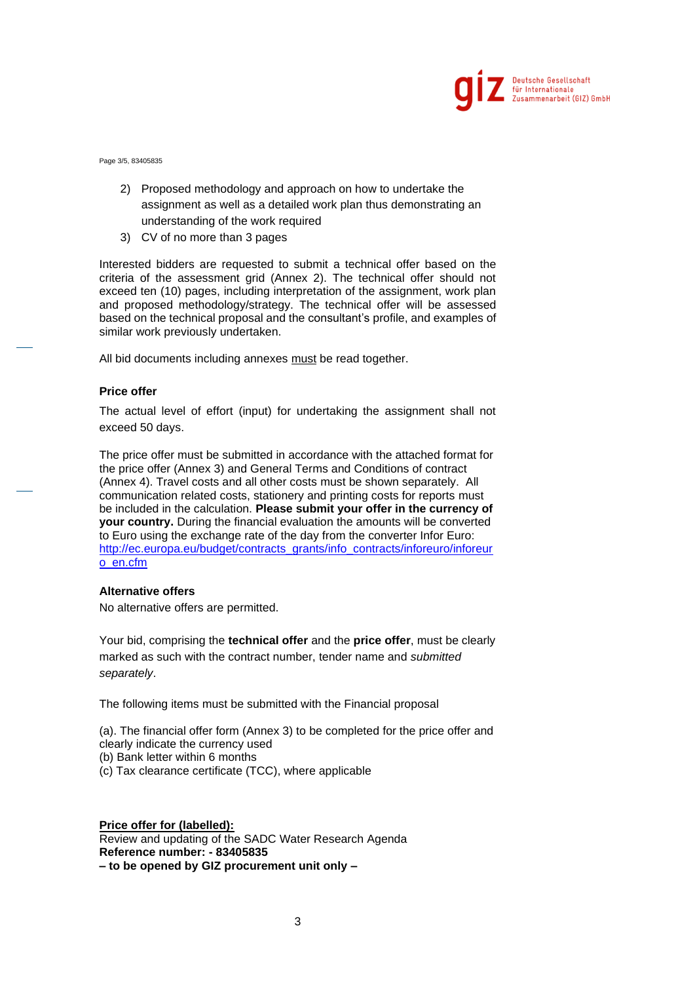

Page 3/5, 83405835

- 2) Proposed methodology and approach on how to undertake the assignment as well as a detailed work plan thus demonstrating an understanding of the work required
- 3) CV of no more than 3 pages

Interested bidders are requested to submit a technical offer based on the criteria of the assessment grid (Annex 2). The technical offer should not exceed ten (10) pages, including interpretation of the assignment, work plan and proposed methodology/strategy. The technical offer will be assessed based on the technical proposal and the consultant's profile, and examples of similar work previously undertaken.

All bid documents including annexes must be read together.

#### **Price offer**

The actual level of effort (input) for undertaking the assignment shall not exceed 50 days.

The price offer must be submitted in accordance with the attached format for the price offer (Annex 3) and General Terms and Conditions of contract (Annex 4). Travel costs and all other costs must be shown separately. All communication related costs, stationery and printing costs for reports must be included in the calculation. **Please submit your offer in the currency of your country.** During the financial evaluation the amounts will be converted to Euro using the exchange rate of the day from the converter Infor Euro: [http://ec.europa.eu/budget/contracts\\_grants/info\\_contracts/inforeuro/inforeur](http://ec.europa.eu/budget/contracts_grants/info_contracts/inforeuro/inforeuro_en.cfm) [o\\_en.cfm](http://ec.europa.eu/budget/contracts_grants/info_contracts/inforeuro/inforeuro_en.cfm)

# **Alternative offers**

No alternative offers are permitted.

Your bid, comprising the **technical offer** and the **price offer**, must be clearly marked as such with the contract number, tender name and *submitted separately*.

The following items must be submitted with the Financial proposal

(a). The financial offer form (Annex 3) to be completed for the price offer and clearly indicate the currency used

- (b) Bank letter within 6 months
- (c) Tax clearance certificate (TCC), where applicable

**Price offer for (labelled):** Review and updating of the SADC Water Research Agenda **Reference number: - 83405835 – to be opened by GIZ procurement unit only –**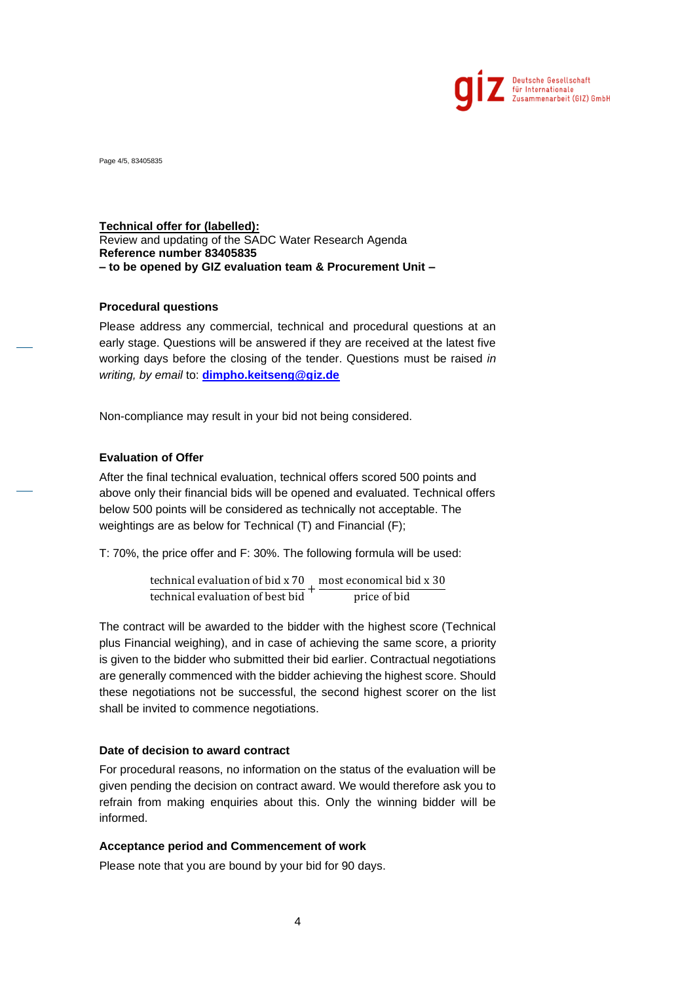

Page 4/5, 83405835

### **Technical offer for (labelled):**

Review and updating of the SADC Water Research Agenda **Reference number 83405835 – to be opened by GIZ evaluation team & Procurement Unit –**

### **Procedural questions**

Please address any commercial, technical and procedural questions at an early stage. Questions will be answered if they are received at the latest five working days before the closing of the tender. Questions must be raised *in writing, by email* to: **[dimpho.keitseng@giz.de](mailto:dimpho.keitseng@giz.de)**

Non-compliance may result in your bid not being considered.

# **Evaluation of Offer**

After the final technical evaluation, technical offers scored 500 points and above only their financial bids will be opened and evaluated. Technical offers below 500 points will be considered as technically not acceptable. The weightings are as below for Technical (T) and Financial (F);

T: 70%, the price offer and F: 30%. The following formula will be used:

technical evaluation of bid x 70 most economical bid x 30 technical evaluation of best bid + price of bid

The contract will be awarded to the bidder with the highest score (Technical plus Financial weighing), and in case of achieving the same score, a priority is given to the bidder who submitted their bid earlier. Contractual negotiations are generally commenced with the bidder achieving the highest score. Should these negotiations not be successful, the second highest scorer on the list shall be invited to commence negotiations.

# **Date of decision to award contract**

For procedural reasons, no information on the status of the evaluation will be given pending the decision on contract award. We would therefore ask you to refrain from making enquiries about this. Only the winning bidder will be informed.

#### **Acceptance period and Commencement of work**

Please note that you are bound by your bid for 90 days.